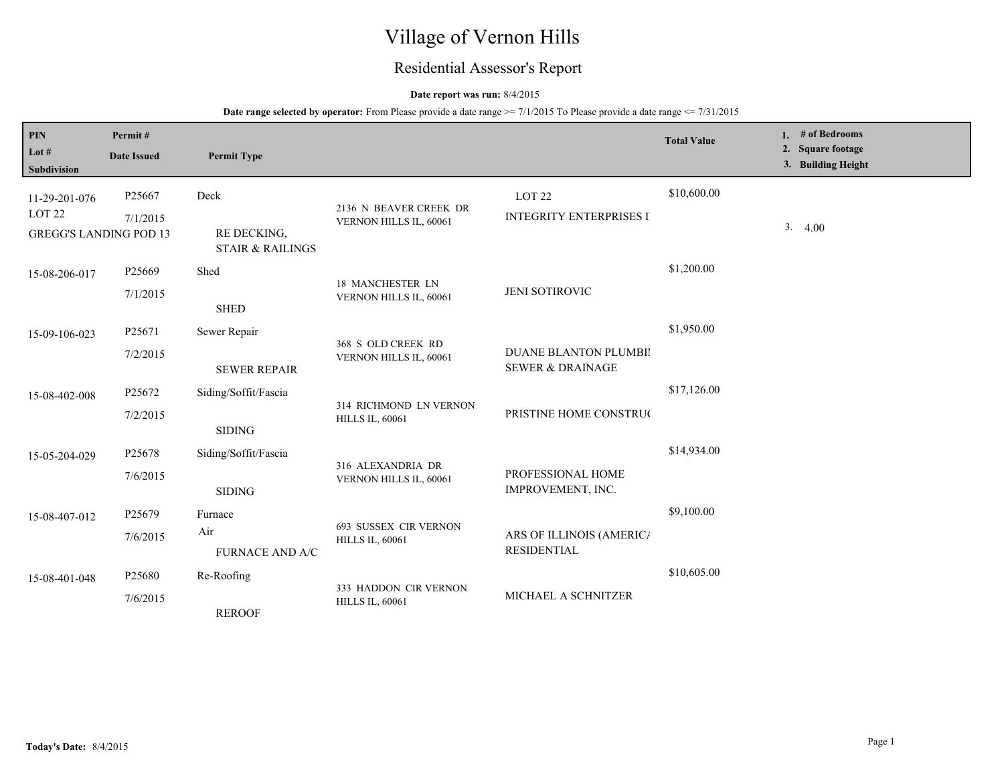# Village of Vernon Hills

## Residential Assessor's Report

## **Date report was run:** 8/4/2015

| PIN                                                | Permit#            |                                            |                                                  |                                                      | <b>Total Value</b> | 1. $#$ of Bedrooms                      |
|----------------------------------------------------|--------------------|--------------------------------------------|--------------------------------------------------|------------------------------------------------------|--------------------|-----------------------------------------|
| Lot #<br>Subdivision                               | <b>Date Issued</b> | <b>Permit Type</b>                         |                                                  |                                                      |                    | 2. Square footage<br>3. Building Height |
| 11-29-201-076                                      | P25667             | Deck                                       | 2136 N BEAVER CREEK DR                           | LOT <sub>22</sub>                                    | \$10,600.00        |                                         |
| LOT <sub>22</sub><br><b>GREGG'S LANDING POD 13</b> | 7/1/2015           | RE DECKING,<br><b>STAIR &amp; RAILINGS</b> | VERNON HILLS IL, 60061                           | <b>INTEGRITY ENTERPRISES I</b>                       |                    | 3.4.00                                  |
| 15-08-206-017                                      | P <sub>25669</sub> | Shed                                       | 18 MANCHESTER LN                                 |                                                      | \$1,200.00         |                                         |
|                                                    | 7/1/2015           | <b>SHED</b>                                | VERNON HILLS IL, 60061                           | JENI SOTIROVIC                                       |                    |                                         |
| 15-09-106-023                                      | P <sub>25671</sub> | Sewer Repair                               | 368 S OLD CREEK RD<br>VERNON HILLS IL, 60061     |                                                      | \$1,950.00         |                                         |
|                                                    | 7/2/2015           | <b>SEWER REPAIR</b>                        |                                                  | DUANE BLANTON PLUMBII<br><b>SEWER &amp; DRAINAGE</b> |                    |                                         |
| 15-08-402-008                                      | P25672             | Siding/Soffit/Fascia                       | 314 RICHMOND LN VERNON<br><b>HILLS IL, 60061</b> | PRISTINE HOME CONSTRUC                               | \$17,126.00        |                                         |
|                                                    | 7/2/2015           | <b>SIDING</b>                              |                                                  |                                                      |                    |                                         |
| 15-05-204-029                                      | P25678             | Siding/Soffit/Fascia                       | 316 ALEXANDRIA DR                                |                                                      | \$14,934.00        |                                         |
|                                                    | 7/6/2015           | <b>SIDING</b>                              | VERNON HILLS IL, 60061                           | PROFESSIONAL HOME<br>IMPROVEMENT, INC.               |                    |                                         |
| 15-08-407-012                                      | P25679             | Furnace                                    |                                                  |                                                      | \$9,100.00         |                                         |
|                                                    | 7/6/2015           | Air<br><b>FURNACE AND A/C</b>              | 693 SUSSEX CIR VERNON<br><b>HILLS IL, 60061</b>  | ARS OF ILLINOIS (AMERIC/<br><b>RESIDENTIAL</b>       |                    |                                         |
| 15-08-401-048                                      | P25680             | Re-Roofing                                 | 333 HADDON CIR VERNON                            | \$10,605.00<br>MICHAEL A SCHNITZER                   |                    |                                         |
|                                                    | 7/6/2015           | <b>REROOF</b>                              | <b>HILLS IL, 60061</b>                           |                                                      |                    |                                         |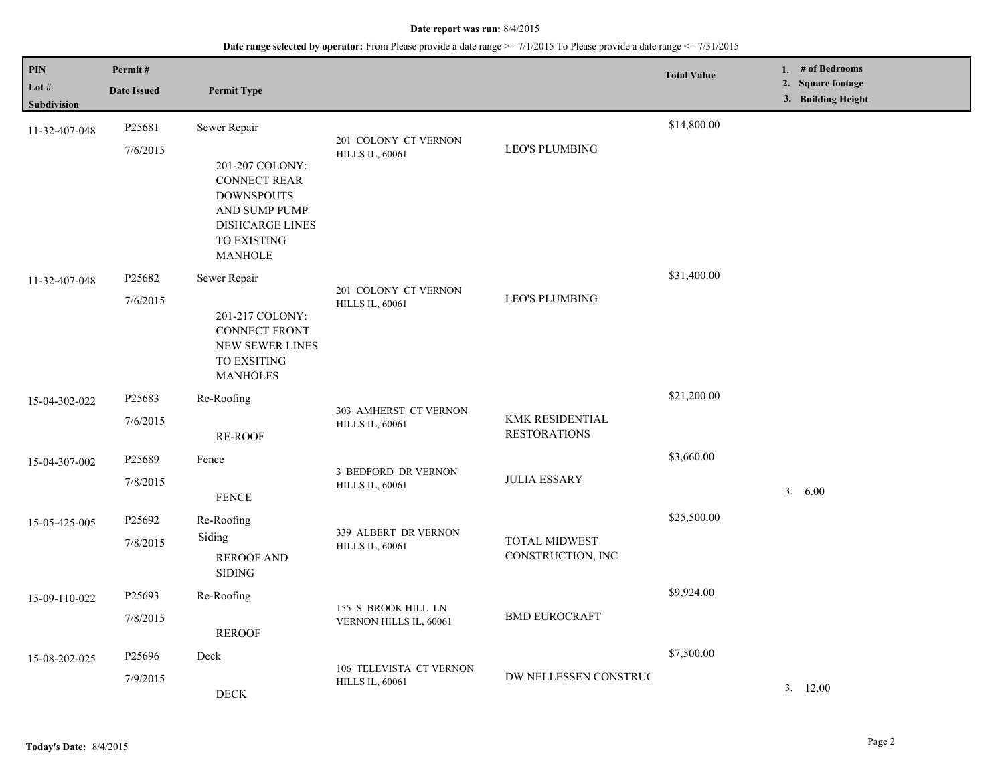| <b>PIN</b>           | Permit#            |                                                                                                                                         |                                                   |                                               | <b>Total Value</b> | 1. $#$ of Bedrooms<br>2. Square footage |
|----------------------|--------------------|-----------------------------------------------------------------------------------------------------------------------------------------|---------------------------------------------------|-----------------------------------------------|--------------------|-----------------------------------------|
| Lot #<br>Subdivision | <b>Date Issued</b> | <b>Permit Type</b>                                                                                                                      |                                                   |                                               |                    | 3. Building Height                      |
| 11-32-407-048        | P25681             | Sewer Repair                                                                                                                            |                                                   |                                               | \$14,800.00        |                                         |
|                      | 7/6/2015           | 201-207 COLONY:<br><b>CONNECT REAR</b><br><b>DOWNSPOUTS</b><br>AND SUMP PUMP<br><b>DISHCARGE LINES</b><br>TO EXISTING<br><b>MANHOLE</b> | 201 COLONY CT VERNON<br><b>HILLS IL, 60061</b>    | <b>LEO'S PLUMBING</b>                         |                    |                                         |
| 11-32-407-048        | P25682             | Sewer Repair                                                                                                                            | 201 COLONY CT VERNON                              |                                               | \$31,400.00        |                                         |
|                      | 7/6/2015           | 201-217 COLONY:<br><b>CONNECT FRONT</b><br><b>NEW SEWER LINES</b><br>TO EXSITING<br><b>MANHOLES</b>                                     | <b>HILLS IL, 60061</b>                            | <b>LEO'S PLUMBING</b>                         |                    |                                         |
| 15-04-302-022        | P <sub>25683</sub> | Re-Roofing                                                                                                                              |                                                   |                                               | \$21,200.00        |                                         |
|                      | 7/6/2015           | <b>RE-ROOF</b>                                                                                                                          | 303 AMHERST CT VERNON<br><b>HILLS IL, 60061</b>   | <b>KMK RESIDENTIAL</b><br><b>RESTORATIONS</b> |                    |                                         |
| 15-04-307-002        | P25689             | Fence                                                                                                                                   | <b>3 BEDFORD DR VERNON</b>                        |                                               | \$3,660.00         |                                         |
|                      | 7/8/2015           | <b>FENCE</b>                                                                                                                            | <b>HILLS IL, 60061</b>                            | <b>JULIA ESSARY</b>                           |                    | 3. 6.00                                 |
| 15-05-425-005        | P25692             | Re-Roofing                                                                                                                              | 339 ALBERT DR VERNON                              |                                               | \$25,500.00        |                                         |
|                      | 7/8/2015           | Siding<br><b>REROOF AND</b><br><b>SIDING</b>                                                                                            | <b>HILLS IL, 60061</b>                            | <b>TOTAL MIDWEST</b><br>CONSTRUCTION, INC     |                    |                                         |
| 15-09-110-022        | P25693             | Re-Roofing                                                                                                                              |                                                   |                                               | \$9,924.00         |                                         |
|                      | 7/8/2015           | <b>REROOF</b>                                                                                                                           | 155 S BROOK HILL LN<br>VERNON HILLS IL, 60061     | <b>BMD EUROCRAFT</b>                          |                    |                                         |
| 15-08-202-025        | P <sub>25696</sub> | Deck                                                                                                                                    |                                                   |                                               | \$7,500.00         |                                         |
|                      | 7/9/2015           | <b>DECK</b>                                                                                                                             | 106 TELEVISTA CT VERNON<br><b>HILLS IL, 60061</b> | DW NELLESSEN CONSTRUC                         |                    | 3.12.00                                 |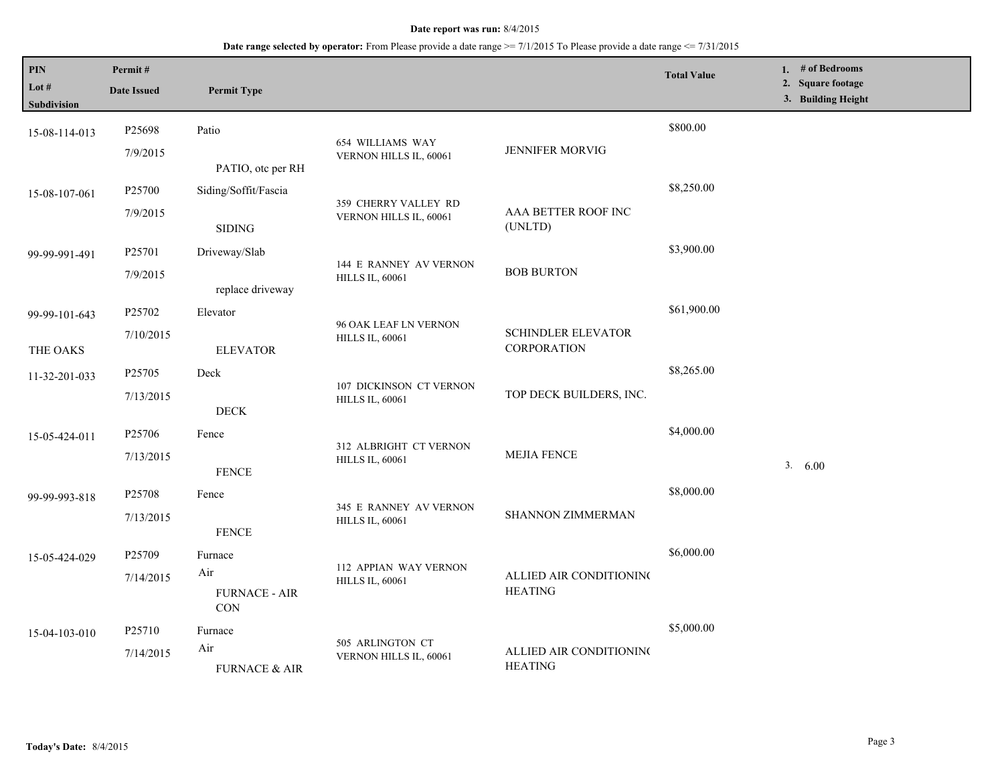| PIN<br>Lot $#$<br><b>Subdivision</b> | Permit#<br><b>Date Issued</b> | <b>Permit Type</b>                                         |                                                   |                                                 | <b>Total Value</b> | 1. # of Bedrooms<br>2. Square footage<br>3. Building Height |
|--------------------------------------|-------------------------------|------------------------------------------------------------|---------------------------------------------------|-------------------------------------------------|--------------------|-------------------------------------------------------------|
| 15-08-114-013                        | P25698<br>7/9/2015            | Patio                                                      | 654 WILLIAMS WAY<br>VERNON HILLS IL, 60061        | <b>JENNIFER MORVIG</b>                          | \$800.00           |                                                             |
| 15-08-107-061                        | P25700<br>7/9/2015            | PATIO, otc per RH<br>Siding/Soffit/Fascia<br><b>SIDING</b> | 359 CHERRY VALLEY RD<br>VERNON HILLS IL, 60061    | AAA BETTER ROOF INC<br>(UNLTD)                  | \$8,250.00         |                                                             |
| 99-99-991-491                        | P25701<br>7/9/2015            | Driveway/Slab<br>replace driveway                          | 144 E RANNEY AV VERNON<br><b>HILLS IL, 60061</b>  | <b>BOB BURTON</b>                               | \$3,900.00         |                                                             |
| 99-99-101-643                        | P25702<br>7/10/2015           | Elevator                                                   | 96 OAK LEAF LN VERNON<br><b>HILLS IL, 60061</b>   | <b>SCHINDLER ELEVATOR</b><br><b>CORPORATION</b> | \$61,900.00        |                                                             |
| THE OAKS<br>11-32-201-033            | P25705<br>7/13/2015           | <b>ELEVATOR</b><br>Deck                                    | 107 DICKINSON CT VERNON<br><b>HILLS IL, 60061</b> | TOP DECK BUILDERS, INC.                         | \$8,265.00         |                                                             |
| 15-05-424-011                        | P25706<br>7/13/2015           | $\rm DECK$<br>Fence<br><b>FENCE</b>                        | 312 ALBRIGHT CT VERNON<br><b>HILLS IL, 60061</b>  | <b>MEJIA FENCE</b>                              | \$4,000.00         | 3. 6.00                                                     |
| 99-99-993-818                        | P25708<br>7/13/2015           | Fence<br><b>FENCE</b>                                      | 345 E RANNEY AV VERNON<br><b>HILLS IL, 60061</b>  | SHANNON ZIMMERMAN                               | \$8,000.00         |                                                             |
| 15-05-424-029                        | P25709<br>7/14/2015           | Furnace<br>Air<br><b>FURNACE - AIR</b>                     | 112 APPIAN WAY VERNON<br><b>HILLS IL, 60061</b>   | ALLIED AIR CONDITIONING<br><b>HEATING</b>       | \$6,000.00         |                                                             |
| 15-04-103-010                        | P25710<br>7/14/2015           | <b>CON</b><br>Furnace<br>Air<br><b>FURNACE &amp; AIR</b>   | 505 ARLINGTON CT<br>VERNON HILLS IL, 60061        | ALLIED AIR CONDITIONING<br><b>HEATING</b>       | \$5,000.00         |                                                             |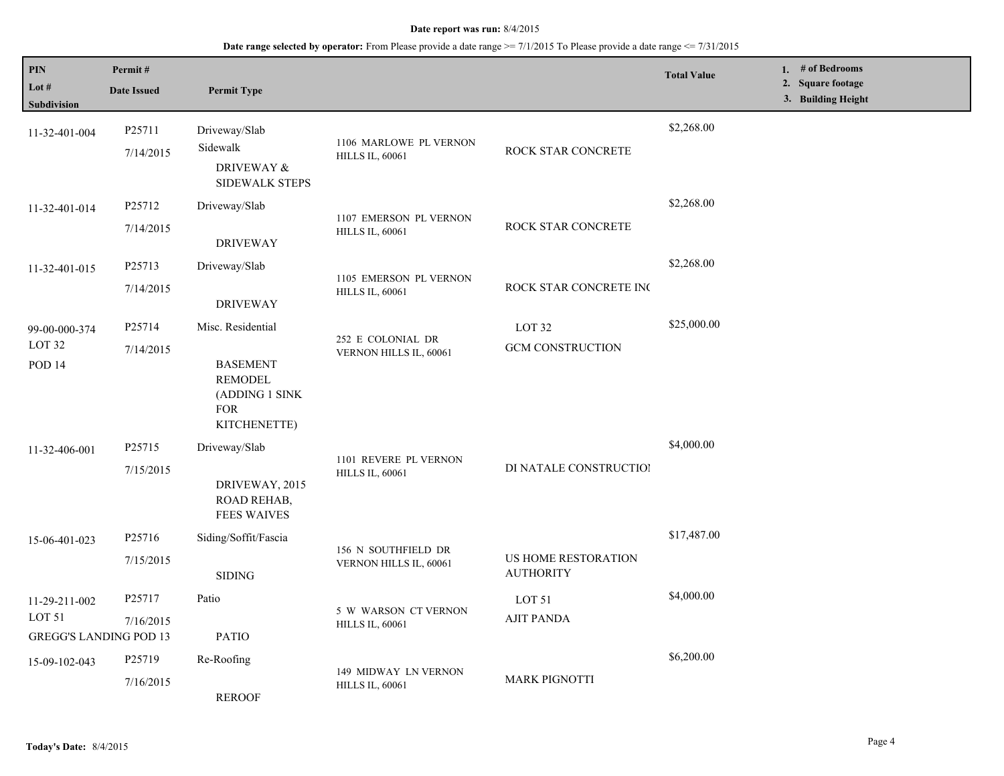| <b>PIN</b><br>Lot $#$              | Permit#<br><b>Date Issued</b> | <b>Permit Type</b>                                                |                                                  |                                         | <b>Total Value</b> | 1. $#$ of Bedrooms<br>2. Square footage |
|------------------------------------|-------------------------------|-------------------------------------------------------------------|--------------------------------------------------|-----------------------------------------|--------------------|-----------------------------------------|
| <b>Subdivision</b>                 |                               |                                                                   |                                                  |                                         |                    | 3. Building Height                      |
| 11-32-401-004                      | P25711<br>7/14/2015           | Driveway/Slab<br>Sidewalk<br>DRIVEWAY &                           | 1106 MARLOWE PL VERNON<br><b>HILLS IL, 60061</b> | ROCK STAR CONCRETE                      | \$2,268.00         |                                         |
|                                    |                               | SIDEWALK STEPS                                                    |                                                  |                                         |                    |                                         |
| 11-32-401-014                      | P25712                        | Driveway/Slab                                                     |                                                  |                                         | \$2,268.00         |                                         |
|                                    | 7/14/2015                     | <b>DRIVEWAY</b>                                                   | 1107 EMERSON PL VERNON<br><b>HILLS IL, 60061</b> | ROCK STAR CONCRETE                      |                    |                                         |
| 11-32-401-015                      | P25713                        | Driveway/Slab                                                     |                                                  |                                         | \$2,268.00         |                                         |
|                                    | 7/14/2015                     | <b>DRIVEWAY</b>                                                   | 1105 EMERSON PL VERNON<br><b>HILLS IL, 60061</b> | ROCK STAR CONCRETE INC                  |                    |                                         |
| 99-00-000-374                      | P25714                        | Misc. Residential                                                 |                                                  | LOT <sub>32</sub>                       | \$25,000.00        |                                         |
| LOT <sub>32</sub><br><b>POD 14</b> | 7/14/2015                     | <b>BASEMENT</b><br><b>REMODEL</b><br>(ADDING 1 SINK<br><b>FOR</b> | 252 E COLONIAL DR<br>VERNON HILLS IL, 60061      | <b>GCM CONSTRUCTION</b>                 |                    |                                         |
|                                    |                               | KITCHENETTE)                                                      |                                                  |                                         |                    |                                         |
| 11-32-406-001                      | P <sub>25715</sub>            | Driveway/Slab                                                     |                                                  |                                         | \$4,000.00         |                                         |
|                                    | 7/15/2015                     | DRIVEWAY, 2015<br>ROAD REHAB,<br><b>FEES WAIVES</b>               | 1101 REVERE PL VERNON<br><b>HILLS IL, 60061</b>  | DI NATALE CONSTRUCTIOI                  |                    |                                         |
| 15-06-401-023                      | P25716                        | Siding/Soffit/Fascia                                              |                                                  |                                         | \$17,487.00        |                                         |
|                                    | 7/15/2015                     | <b>SIDING</b>                                                     | 156 N SOUTHFIELD DR<br>VERNON HILLS IL, 60061    | US HOME RESTORATION<br><b>AUTHORITY</b> |                    |                                         |
| 11-29-211-002                      | P25717                        | Patio                                                             |                                                  | LOT 51                                  | \$4,000.00         |                                         |
| LOT <sub>51</sub>                  | 7/16/2015                     |                                                                   | 5 W WARSON CT VERNON<br><b>HILLS IL, 60061</b>   | <b>AJIT PANDA</b>                       |                    |                                         |
| <b>GREGG'S LANDING POD 13</b>      |                               | <b>PATIO</b>                                                      |                                                  |                                         |                    |                                         |
| 15-09-102-043                      | P25719                        | Re-Roofing                                                        |                                                  |                                         | \$6,200.00         |                                         |
|                                    | 7/16/2015                     | <b>REROOF</b>                                                     | 149 MIDWAY LN VERNON<br><b>HILLS IL, 60061</b>   | <b>MARK PIGNOTTI</b>                    |                    |                                         |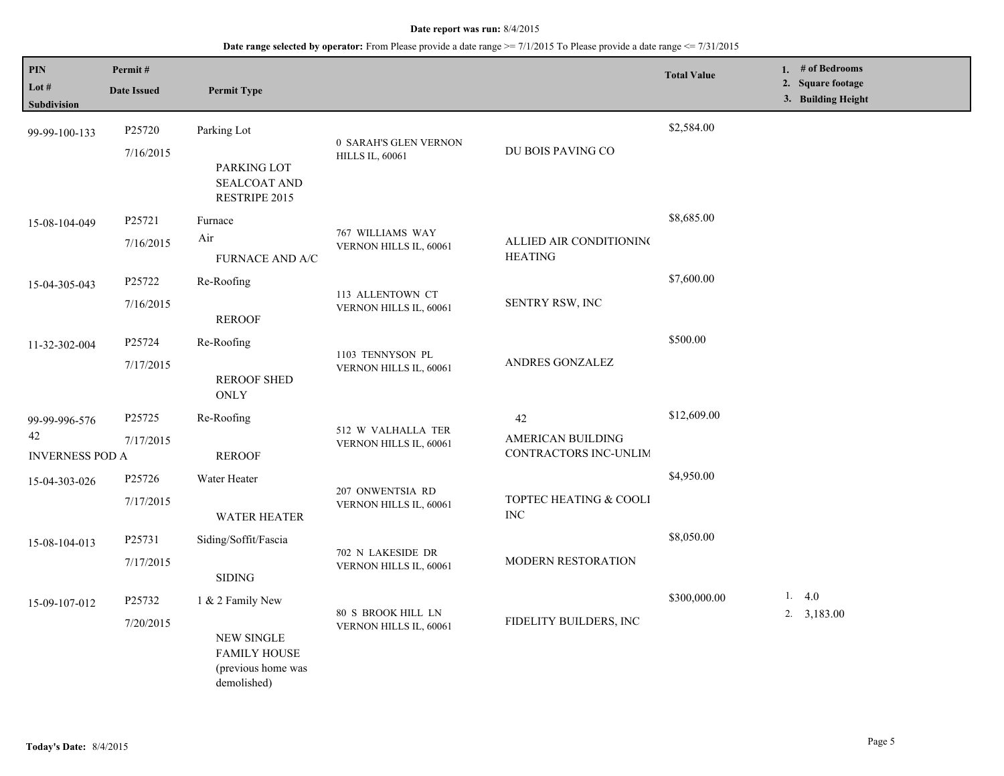| PIN<br>Lot $#$<br>Subdivision                 | Permit#<br><b>Date Issued</b> | <b>Permit Type</b>                                                                                |                                                 |                                                  | <b>Total Value</b> | 1. $#$ of Bedrooms<br>2. Square footage<br>3. Building Height |
|-----------------------------------------------|-------------------------------|---------------------------------------------------------------------------------------------------|-------------------------------------------------|--------------------------------------------------|--------------------|---------------------------------------------------------------|
| 99-99-100-133                                 | P25720<br>7/16/2015           | Parking Lot<br>PARKING LOT<br>SEALCOAT AND<br>RESTRIPE 2015                                       | 0 SARAH'S GLEN VERNON<br><b>HILLS IL, 60061</b> | DU BOIS PAVING CO                                | \$2,584.00         |                                                               |
| 15-08-104-049                                 | P25721<br>7/16/2015           | Furnace<br>Air<br><b>FURNACE AND A/C</b>                                                          | 767 WILLIAMS WAY<br>VERNON HILLS IL, 60061      | ALLIED AIR CONDITIONING<br><b>HEATING</b>        | \$8,685.00         |                                                               |
| 15-04-305-043                                 | P25722<br>7/16/2015           | Re-Roofing<br><b>REROOF</b>                                                                       | 113 ALLENTOWN CT<br>VERNON HILLS IL, 60061      | SENTRY RSW, INC                                  | \$7,600.00         |                                                               |
| 11-32-302-004                                 | P25724<br>7/17/2015           | Re-Roofing<br><b>REROOF SHED</b><br><b>ONLY</b>                                                   | 1103 TENNYSON PL<br>VERNON HILLS IL, 60061      | ANDRES GONZALEZ                                  | \$500.00           |                                                               |
| 99-99-996-576<br>42<br><b>INVERNESS POD A</b> | P25725<br>7/17/2015           | Re-Roofing<br><b>REROOF</b>                                                                       | 512 W VALHALLA TER<br>VERNON HILLS IL, 60061    | 42<br>AMERICAN BUILDING<br>CONTRACTORS INC-UNLIM | \$12,609.00        |                                                               |
| 15-04-303-026                                 | P25726<br>7/17/2015           | Water Heater<br>WATER HEATER                                                                      | 207 ONWENTSIA RD<br>VERNON HILLS IL, 60061      | TOPTEC HEATING & COOLI<br><b>INC</b>             | \$4,950.00         |                                                               |
| 15-08-104-013                                 | P25731<br>7/17/2015           | Siding/Soffit/Fascia<br><b>SIDING</b>                                                             | 702 N LAKESIDE DR<br>VERNON HILLS IL, 60061     | MODERN RESTORATION                               | \$8,050.00         |                                                               |
| 15-09-107-012                                 | P25732<br>7/20/2015           | 1 & 2 Family New<br><b>NEW SINGLE</b><br><b>FAMILY HOUSE</b><br>(previous home was<br>demolished) | 80 S BROOK HILL LN<br>VERNON HILLS IL, 60061    | FIDELITY BUILDERS, INC                           | \$300,000.00       | 1. $4.0$<br>$2. \quad 3,183.00$                               |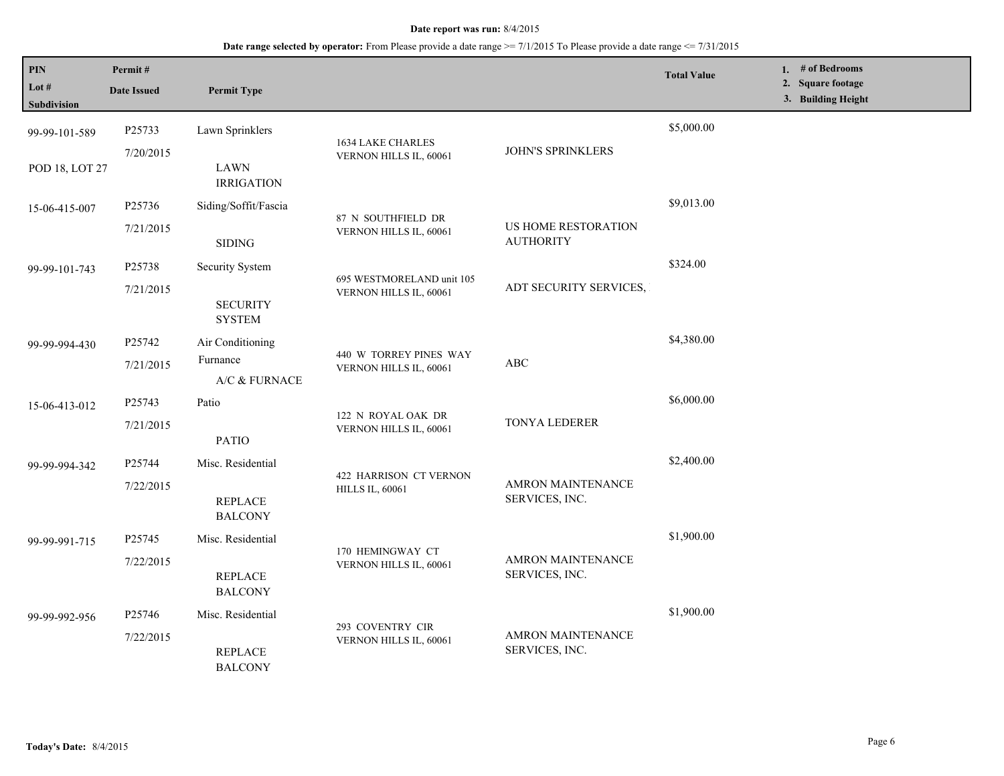| PIN<br>Lot #   | Permit#<br><b>Date Issued</b>                                     | <b>Permit Type</b>               |                                                     |                                            | <b>Total Value</b> | 1. # of Bedrooms<br>2. Square footage |
|----------------|-------------------------------------------------------------------|----------------------------------|-----------------------------------------------------|--------------------------------------------|--------------------|---------------------------------------|
| Subdivision    |                                                                   |                                  |                                                     |                                            |                    | 3. Building Height                    |
| 99-99-101-589  | P25733                                                            | Lawn Sprinklers                  | 1634 LAKE CHARLES                                   |                                            | \$5,000.00         |                                       |
| POD 18, LOT 27 | 7/20/2015                                                         | <b>LAWN</b><br><b>IRRIGATION</b> | VERNON HILLS IL, 60061                              | <b>JOHN'S SPRINKLERS</b>                   |                    |                                       |
| 15-06-415-007  | P25736                                                            | Siding/Soffit/Fascia             |                                                     |                                            | \$9,013.00         |                                       |
|                | 7/21/2015                                                         | <b>SIDING</b>                    | 87 N SOUTHFIELD DR<br>VERNON HILLS IL, 60061        | US HOME RESTORATION<br><b>AUTHORITY</b>    |                    |                                       |
| 99-99-101-743  | P25738                                                            | Security System                  |                                                     |                                            | \$324.00           |                                       |
|                | 7/21/2015                                                         | <b>SECURITY</b><br><b>SYSTEM</b> | 695 WESTMORELAND unit 105<br>VERNON HILLS IL, 60061 | ADT SECURITY SERVICES,                     |                    |                                       |
| 99-99-994-430  | P25742                                                            | Air Conditioning                 |                                                     |                                            | \$4,380.00         |                                       |
|                | 7/21/2015                                                         | Furnance<br>A/C & FURNACE        | 440 W TORREY PINES WAY<br>VERNON HILLS IL, 60061    | ABC                                        |                    |                                       |
| 15-06-413-012  | P25743                                                            | Patio                            |                                                     | TONYA LEDERER                              | \$6,000.00         |                                       |
|                | 7/21/2015                                                         | <b>PATIO</b>                     | 122 N ROYAL OAK DR<br>VERNON HILLS IL, 60061        |                                            |                    |                                       |
| 99-99-994-342  | P25744                                                            | Misc. Residential                |                                                     |                                            | \$2,400.00         |                                       |
|                | 7/22/2015                                                         | <b>REPLACE</b><br><b>BALCONY</b> | 422 HARRISON CT VERNON<br><b>HILLS IL, 60061</b>    | AMRON MAINTENANCE<br>SERVICES, INC.        |                    |                                       |
| 99-99-991-715  | P25745                                                            | Misc. Residential                |                                                     |                                            | \$1,900.00         |                                       |
|                | 7/22/2015                                                         | <b>REPLACE</b><br><b>BALCONY</b> | 170 HEMINGWAY CT<br>VERNON HILLS IL, 60061          | <b>AMRON MAINTENANCE</b><br>SERVICES, INC. |                    |                                       |
| 99-99-992-956  | P <sub>25746</sub>                                                | Misc. Residential                |                                                     |                                            | \$1,900.00         |                                       |
|                | 293 COVENTRY CIR<br>7/22/2015<br><b>REPLACE</b><br><b>BALCONY</b> | VERNON HILLS IL, 60061           | AMRON MAINTENANCE<br>SERVICES, INC.                 |                                            |                    |                                       |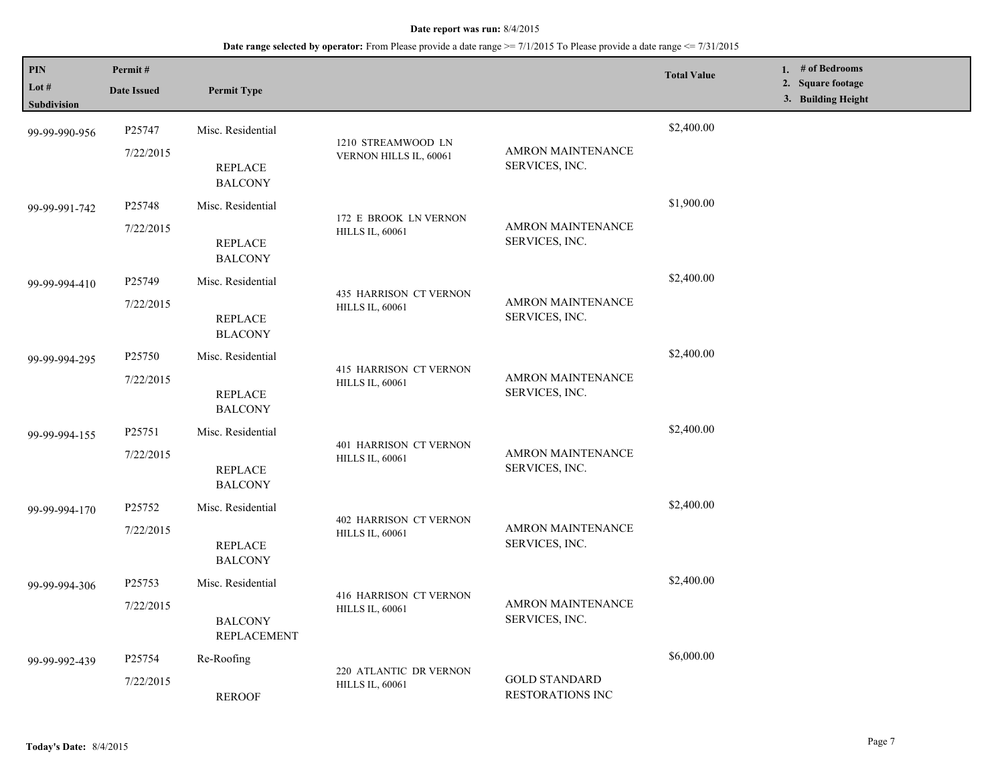| PIN<br>Lot #<br><b>Subdivision</b> | Permit#<br><b>Date Issued</b> | <b>Permit Type</b>               |                                                         |                                                 | <b>Total Value</b> | 1. # of Bedrooms<br>2. Square footage<br>3. Building Height |
|------------------------------------|-------------------------------|----------------------------------|---------------------------------------------------------|-------------------------------------------------|--------------------|-------------------------------------------------------------|
| 99-99-990-956                      | P25747                        | Misc. Residential                | 1210 STREAMWOOD LN                                      |                                                 | \$2,400.00         |                                                             |
|                                    | 7/22/2015                     | <b>REPLACE</b><br><b>BALCONY</b> | VERNON HILLS IL, 60061                                  | <b>AMRON MAINTENANCE</b><br>SERVICES, INC.      |                    |                                                             |
| 99-99-991-742                      | P25748                        | Misc. Residential                |                                                         |                                                 | \$1,900.00         |                                                             |
|                                    | 7/22/2015                     | <b>REPLACE</b><br><b>BALCONY</b> | 172 E BROOK LN VERNON<br><b>HILLS IL, 60061</b>         | AMRON MAINTENANCE<br>SERVICES, INC.             |                    |                                                             |
| 99-99-994-410                      | P <sub>25749</sub>            | Misc. Residential                |                                                         |                                                 | \$2,400.00         |                                                             |
|                                    | 7/22/2015                     | <b>REPLACE</b><br><b>BLACONY</b> | 435 HARRISON CT VERNON<br><b>HILLS IL, 60061</b>        | <b>AMRON MAINTENANCE</b><br>SERVICES, INC.      |                    |                                                             |
| 99-99-994-295                      | P25750                        | Misc. Residential                |                                                         |                                                 | \$2,400.00         |                                                             |
|                                    | 7/22/2015                     | <b>REPLACE</b><br><b>BALCONY</b> | 415 HARRISON CT VERNON<br><b>HILLS IL, 60061</b>        | <b>AMRON MAINTENANCE</b><br>SERVICES, INC.      |                    |                                                             |
| 99-99-994-155                      | P25751                        | Misc. Residential                |                                                         | AMRON MAINTENANCE<br>SERVICES, INC.             | \$2,400.00         |                                                             |
|                                    | 7/22/2015                     | <b>REPLACE</b><br><b>BALCONY</b> | 401 HARRISON CT VERNON<br><b>HILLS IL, 60061</b>        |                                                 |                    |                                                             |
| 99-99-994-170                      | P25752                        | Misc. Residential                |                                                         |                                                 | \$2,400.00         |                                                             |
|                                    | 7/22/2015                     | <b>REPLACE</b><br><b>BALCONY</b> | <b>402 HARRISON CT VERNON</b><br><b>HILLS IL, 60061</b> | AMRON MAINTENANCE<br>SERVICES, INC.             |                    |                                                             |
| 99-99-994-306                      | P25753                        | Misc. Residential                |                                                         |                                                 | \$2,400.00         |                                                             |
|                                    | 7/22/2015                     | <b>BALCONY</b><br>REPLACEMENT    | 416 HARRISON CT VERNON<br><b>HILLS IL, 60061</b>        | <b>AMRON MAINTENANCE</b><br>SERVICES, INC.      |                    |                                                             |
| 99-99-992-439                      | P25754                        | Re-Roofing                       |                                                         |                                                 | \$6,000.00         |                                                             |
|                                    | 7/22/2015                     | <b>REROOF</b>                    | 220 ATLANTIC DR VERNON<br><b>HILLS IL, 60061</b>        | <b>GOLD STANDARD</b><br><b>RESTORATIONS INC</b> |                    |                                                             |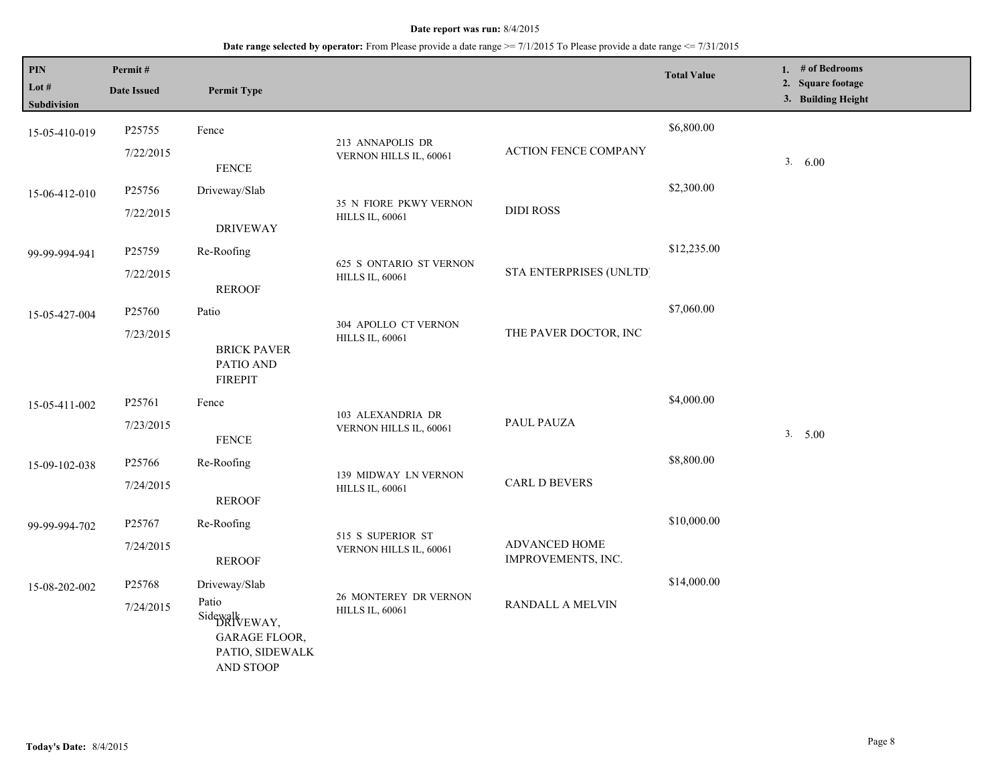| $\mathbf{PIN}$<br>Lot $#$<br><b>Subdivision</b> | Permit#<br><b>Date Issued</b> | <b>Permit Type</b>                                                                               |                                                   |                                     | <b>Total Value</b> | 1. # of Bedrooms<br>2. Square footage<br>3. Building Height |
|-------------------------------------------------|-------------------------------|--------------------------------------------------------------------------------------------------|---------------------------------------------------|-------------------------------------|--------------------|-------------------------------------------------------------|
| 15-05-410-019                                   | P25755<br>7/22/2015           | Fence<br><b>FENCE</b>                                                                            | 213 ANNAPOLIS DR<br>VERNON HILLS IL, 60061        | <b>ACTION FENCE COMPANY</b>         | \$6,800.00         | 3. 6.00                                                     |
| 15-06-412-010                                   | P25756<br>7/22/2015           | Driveway/Slab<br><b>DRIVEWAY</b>                                                                 | 35 N FIORE PKWY VERNON<br><b>HILLS IL, 60061</b>  | <b>DIDI ROSS</b>                    | \$2,300.00         |                                                             |
| 99-99-994-941                                   | P25759<br>7/22/2015           | Re-Roofing<br><b>REROOF</b>                                                                      | 625 S ONTARIO ST VERNON<br><b>HILLS IL, 60061</b> | STA ENTERPRISES (UNLTD)             | \$12,235.00        |                                                             |
| 15-05-427-004                                   | P25760<br>7/23/2015           | Patio<br><b>BRICK PAVER</b><br>PATIO AND<br><b>FIREPIT</b>                                       | 304 APOLLO CT VERNON<br><b>HILLS IL, 60061</b>    | THE PAVER DOCTOR, INC               | \$7,060.00         |                                                             |
| 15-05-411-002                                   | P25761<br>7/23/2015           | Fence<br>${\tt FENCE}$                                                                           | 103 ALEXANDRIA DR<br>VERNON HILLS IL, 60061       | PAUL PAUZA                          | \$4,000.00         | 3. 5.00                                                     |
| 15-09-102-038                                   | P25766<br>7/24/2015           | Re-Roofing<br><b>REROOF</b>                                                                      | 139 MIDWAY LN VERNON<br><b>HILLS IL, 60061</b>    | CARL D BEVERS                       | \$8,800.00         |                                                             |
| 99-99-994-702                                   | P25767<br>7/24/2015           | Re-Roofing<br><b>REROOF</b>                                                                      | 515 S SUPERIOR ST<br>VERNON HILLS IL, 60061       | ADVANCED HOME<br>IMPROVEMENTS, INC. | \$10,000.00        |                                                             |
| 15-08-202-002                                   | P25768<br>7/24/2015           | Driveway/Slab<br>Patio<br>Sidewalk EWAY,<br><b>GARAGE FLOOR,</b><br>PATIO, SIDEWALK<br>AND STOOP | 26 MONTEREY DR VERNON<br><b>HILLS IL, 60061</b>   | RANDALL A MELVIN                    | \$14,000.00        |                                                             |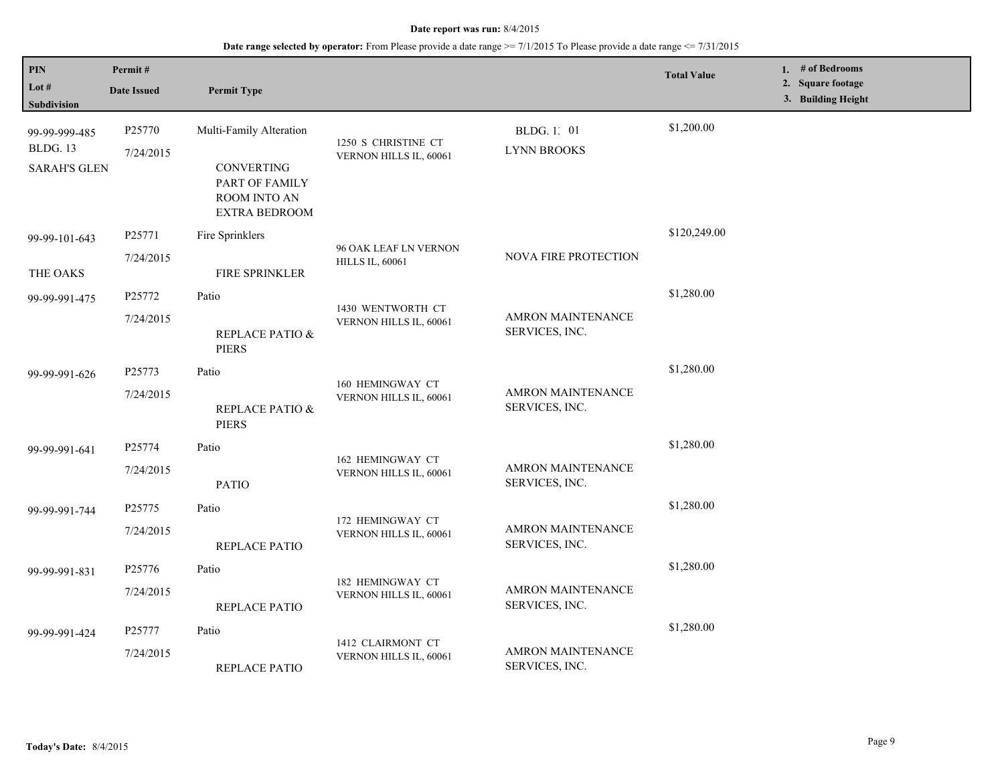| $\mathbf{PIN}$<br>Lot #<br>Subdivision           | Permit#<br><b>Date Issued</b>   | <b>Permit Type</b>                                                                                     |                                                 |                                            | <b>Total Value</b> | 1. # of Bedrooms<br>2. Square footage<br>3. Building Height |
|--------------------------------------------------|---------------------------------|--------------------------------------------------------------------------------------------------------|-------------------------------------------------|--------------------------------------------|--------------------|-------------------------------------------------------------|
| 99-99-999-485<br>BLDG. 13<br><b>SARAH'S GLEN</b> | P25770<br>7/24/2015             | Multi-Family Alteration<br><b>CONVERTING</b><br>PART OF FAMILY<br>ROOM INTO AN<br><b>EXTRA BEDROOM</b> | 1250 S CHRISTINE CT<br>VERNON HILLS IL, 60061   | BLDG. 1, 01<br><b>LYNN BROOKS</b>          | \$1,200.00         |                                                             |
| 99-99-101-643<br>THE OAKS                        | P25771<br>7/24/2015             | Fire Sprinklers<br>FIRE SPRINKLER                                                                      | 96 OAK LEAF LN VERNON<br><b>HILLS IL, 60061</b> | NOVA FIRE PROTECTION                       | \$120,249.00       |                                                             |
| 99-99-991-475                                    | P25772<br>7/24/2015             | Patio<br>REPLACE PATIO &<br><b>PIERS</b>                                                               | 1430 WENTWORTH CT<br>VERNON HILLS IL, 60061     | AMRON MAINTENANCE<br>SERVICES, INC.        | \$1,280.00         |                                                             |
| 99-99-991-626                                    | P25773<br>7/24/2015             | Patio<br>REPLACE PATIO &<br><b>PIERS</b>                                                               | 160 HEMINGWAY CT<br>VERNON HILLS IL, 60061      | AMRON MAINTENANCE<br>SERVICES, INC.        | \$1,280.00         |                                                             |
| 99-99-991-641                                    | P <sub>25774</sub><br>7/24/2015 | Patio<br><b>PATIO</b>                                                                                  | 162 HEMINGWAY CT<br>VERNON HILLS IL, 60061      | AMRON MAINTENANCE<br>SERVICES, INC.        | \$1,280.00         |                                                             |
| 99-99-991-744                                    | P25775<br>7/24/2015             | Patio<br>REPLACE PATIO                                                                                 | 172 HEMINGWAY CT<br>VERNON HILLS IL, 60061      | <b>AMRON MAINTENANCE</b><br>SERVICES, INC. | \$1,280.00         |                                                             |
| 99-99-991-831                                    | P25776<br>7/24/2015             | Patio<br>REPLACE PATIO                                                                                 | 182 HEMINGWAY CT<br>VERNON HILLS IL, 60061      | AMRON MAINTENANCE<br>SERVICES, INC.        | \$1,280.00         |                                                             |
| 99-99-991-424                                    | P25777<br>7/24/2015             | Patio<br><b>REPLACE PATIO</b>                                                                          | 1412 CLAIRMONT CT<br>VERNON HILLS IL, 60061     | AMRON MAINTENANCE<br>SERVICES, INC.        | \$1,280.00         |                                                             |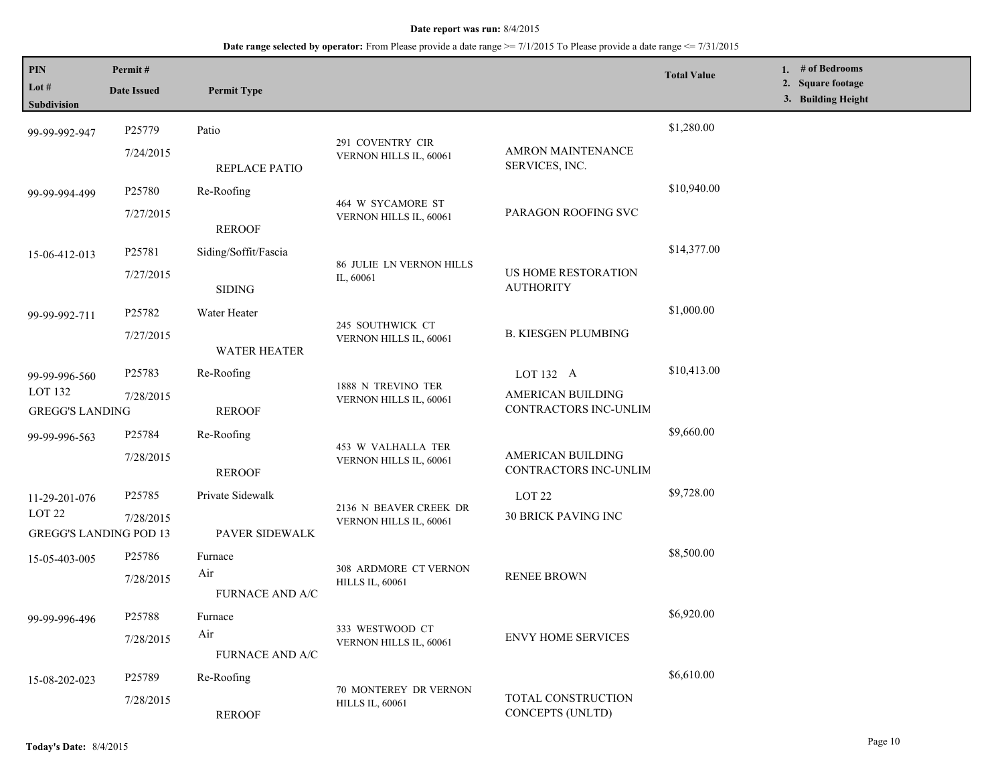| PIN<br>Lot #<br><b>Subdivision</b>                 | Permit#<br><b>Date Issued</b>       | <b>Permit Type</b>            |                                                  |                                            | <b>Total Value</b> | 1. # of Bedrooms<br>2. Square footage<br>3. Building Height |
|----------------------------------------------------|-------------------------------------|-------------------------------|--------------------------------------------------|--------------------------------------------|--------------------|-------------------------------------------------------------|
| 99-99-992-947                                      | P25779                              | Patio                         |                                                  |                                            | \$1,280.00         |                                                             |
|                                                    | 7/24/2015                           | <b>REPLACE PATIO</b>          | 291 COVENTRY CIR<br>VERNON HILLS IL, 60061       | <b>AMRON MAINTENANCE</b><br>SERVICES, INC. |                    |                                                             |
| 99-99-994-499                                      | P25780                              | Re-Roofing                    |                                                  |                                            | \$10,940.00        |                                                             |
|                                                    | 7/27/2015                           | <b>REROOF</b>                 | 464 W SYCAMORE ST<br>VERNON HILLS IL, 60061      | PARAGON ROOFING SVC                        |                    |                                                             |
| 15-06-412-013                                      | P25781                              | Siding/Soffit/Fascia          |                                                  |                                            | \$14,377.00        |                                                             |
|                                                    | 7/27/2015                           | <b>SIDING</b>                 | <b>86 JULIE LN VERNON HILLS</b><br>IL, 60061     | US HOME RESTORATION<br><b>AUTHORITY</b>    |                    |                                                             |
| 99-99-992-711                                      | P <sub>25782</sub>                  | Water Heater                  |                                                  |                                            | \$1,000.00         |                                                             |
|                                                    | 7/27/2015                           | <b>WATER HEATER</b>           | 245 SOUTHWICK CT<br>VERNON HILLS IL, 60061       | <b>B. KIESGEN PLUMBING</b>                 |                    |                                                             |
| 99-99-996-560                                      | P25783                              | Re-Roofing                    |                                                  | LOT 132 A                                  | \$10,413.00        |                                                             |
| LOT <sub>132</sub>                                 | 7/28/2015<br><b>GREGG'S LANDING</b> | <b>REROOF</b>                 | 1888 N TREVINO TER<br>VERNON HILLS IL, 60061     | AMERICAN BUILDING<br>CONTRACTORS INC-UNLIM |                    |                                                             |
| 99-99-996-563                                      | P25784                              | Re-Roofing                    |                                                  |                                            | \$9,660.00         |                                                             |
|                                                    | 7/28/2015                           | <b>REROOF</b>                 | 453 W VALHALLA TER<br>VERNON HILLS IL, 60061     | AMERICAN BUILDING<br>CONTRACTORS INC-UNLIM |                    |                                                             |
| 11-29-201-076                                      | P25785                              | Private Sidewalk              |                                                  | LOT <sub>22</sub>                          | \$9,728.00         |                                                             |
| LOT <sub>22</sub><br><b>GREGG'S LANDING POD 13</b> | 7/28/2015                           | PAVER SIDEWALK                | 2136 N BEAVER CREEK DR<br>VERNON HILLS IL, 60061 | <b>30 BRICK PAVING INC</b>                 |                    |                                                             |
| 15-05-403-005                                      | P25786                              | Furnace                       |                                                  |                                            | \$8,500.00         |                                                             |
|                                                    | 7/28/2015                           | Air<br><b>FURNACE AND A/C</b> | 308 ARDMORE CT VERNON<br><b>HILLS IL, 60061</b>  | <b>RENEE BROWN</b>                         |                    |                                                             |
| 99-99-996-496                                      | P25788                              | Furnace                       |                                                  |                                            | \$6,920.00         |                                                             |
|                                                    | 7/28/2015                           | Air<br><b>FURNACE AND A/C</b> | 333 WESTWOOD CT<br>VERNON HILLS IL, 60061        | <b>ENVY HOME SERVICES</b>                  |                    |                                                             |
| 15-08-202-023                                      | P25789                              | Re-Roofing                    |                                                  |                                            | \$6,610.00         |                                                             |
|                                                    | 7/28/2015                           | <b>REROOF</b>                 | 70 MONTEREY DR VERNON<br><b>HILLS IL, 60061</b>  | TOTAL CONSTRUCTION<br>CONCEPTS (UNLTD)     |                    |                                                             |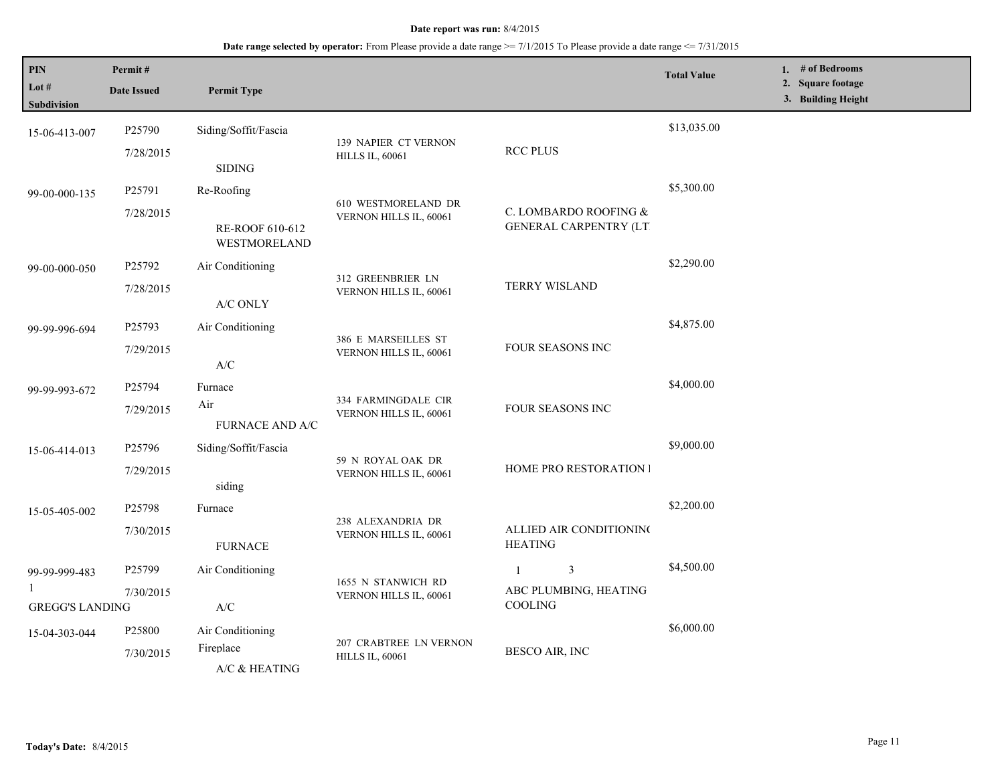## **Date range selected by operator:** From Please provide a date range >= 7/1/2015 To Please provide a date range <= 7/31/2015

| PIN<br>Lot $#$<br><b>Subdivision</b>    | Permit#<br><b>Date Issued</b> | <b>Permit Type</b>                                                              |                                                  |                                                        | <b>Total Value</b> | 1. # of Bedrooms<br>2. Square footage<br>3. Building Height |
|-----------------------------------------|-------------------------------|---------------------------------------------------------------------------------|--------------------------------------------------|--------------------------------------------------------|--------------------|-------------------------------------------------------------|
| 15-06-413-007                           | P25790<br>7/28/2015           | Siding/Soffit/Fascia<br><b>SIDING</b>                                           | 139 NAPIER CT VERNON<br><b>HILLS IL, 60061</b>   | <b>RCC PLUS</b>                                        | \$13,035.00        |                                                             |
| 99-00-000-135                           | P25791<br>7/28/2015           | Re-Roofing<br>RE-ROOF 610-612<br>WESTMORELAND                                   | 610 WESTMORELAND DR<br>VERNON HILLS IL, 60061    | C. LOMBARDO ROOFING &<br><b>GENERAL CARPENTRY (LT)</b> | \$5,300.00         |                                                             |
| 99-00-000-050                           | P25792<br>7/28/2015           | Air Conditioning<br>A/C ONLY                                                    | 312 GREENBRIER LN<br>VERNON HILLS IL, 60061      | <b>TERRY WISLAND</b>                                   | \$2,290.00         |                                                             |
| 99-99-996-694                           | P25793<br>7/29/2015           | Air Conditioning<br>A/C                                                         | 386 E MARSEILLES ST<br>VERNON HILLS IL, 60061    | FOUR SEASONS INC                                       | \$4,875.00         |                                                             |
| 99-99-993-672                           | P25794<br>7/29/2015           | Furnace<br>Air<br>FURNACE AND A/C                                               | 334 FARMINGDALE CIR<br>VERNON HILLS IL, 60061    | FOUR SEASONS INC                                       | \$4,000.00         |                                                             |
| 15-06-414-013                           | P25796<br>7/29/2015           | Siding/Soffit/Fascia<br>siding                                                  | 59 N ROYAL OAK DR<br>VERNON HILLS IL, 60061      | HOME PRO RESTORATION I                                 | \$9,000.00         |                                                             |
| 15-05-405-002                           | P25798<br>7/30/2015           | Furnace<br><b>FURNACE</b>                                                       | 238 ALEXANDRIA DR<br>VERNON HILLS IL, 60061      | ALLIED AIR CONDITIONING<br><b>HEATING</b>              | \$2,200.00         |                                                             |
| 99-99-999-483<br><b>GREGG'S LANDING</b> | P25799<br>7/30/2015           | Air Conditioning<br>$\ensuremath{\text{A}}\xspace/\ensuremath{\text{C}}\xspace$ | 1655 N STANWICH RD<br>VERNON HILLS IL, 60061     | 3<br>1<br>ABC PLUMBING, HEATING<br>COOLING             | \$4,500.00         |                                                             |
| 15-04-303-044                           | P25800<br>7/30/2015           | Air Conditioning<br>Fireplace<br>A/C & HEATING                                  | 207 CRABTREE LN VERNON<br><b>HILLS IL, 60061</b> | BESCO AIR, INC                                         | \$6,000.00         |                                                             |

L